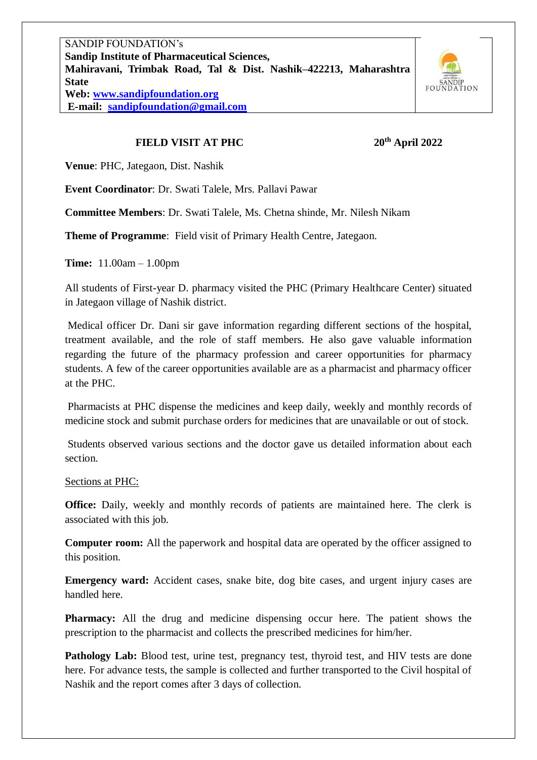SANDIP FOUNDATION's **Sandip Institute of Pharmaceutical Sciences, Mahiravani, Trimbak Road, Tal & Dist. Nashik–422213, Maharashtra State Web: [www.sandipfoundation.org](http://www.sandipfoundation.org/) E-mail: [sandipfoundation@gmail.com](mailto:sandipfoundation@gmail.com)**



## **FIELD VISIT AT PHC 20th April 2022**

**Venue**: PHC, Jategaon, Dist. Nashik

**Event Coordinator**: Dr. Swati Talele, Mrs. Pallavi Pawar

**Committee Members**: Dr. Swati Talele, Ms. Chetna shinde, Mr. Nilesh Nikam

**Theme of Programme**: Field visit of Primary Health Centre, Jategaon.

**Time:** 11.00am – 1.00pm

All students of First-year D. pharmacy visited the PHC (Primary Healthcare Center) situated in Jategaon village of Nashik district.

Medical officer Dr. Dani sir gave information regarding different sections of the hospital, treatment available, and the role of staff members. He also gave valuable information regarding the future of the pharmacy profession and career opportunities for pharmacy students. A few of the career opportunities available are as a pharmacist and pharmacy officer at the PHC.

Pharmacists at PHC dispense the medicines and keep daily, weekly and monthly records of medicine stock and submit purchase orders for medicines that are unavailable or out of stock.

Students observed various sections and the doctor gave us detailed information about each section.

## Sections at PHC:

**Office:** Daily, weekly and monthly records of patients are maintained here. The clerk is associated with this job.

**Computer room:** All the paperwork and hospital data are operated by the officer assigned to this position.

**Emergency ward:** Accident cases, snake bite, dog bite cases, and urgent injury cases are handled here.

**Pharmacy:** All the drug and medicine dispensing occur here. The patient shows the prescription to the pharmacist and collects the prescribed medicines for him/her.

Pathology Lab: Blood test, urine test, pregnancy test, thyroid test, and HIV tests are done here. For advance tests, the sample is collected and further transported to the Civil hospital of Nashik and the report comes after 3 days of collection.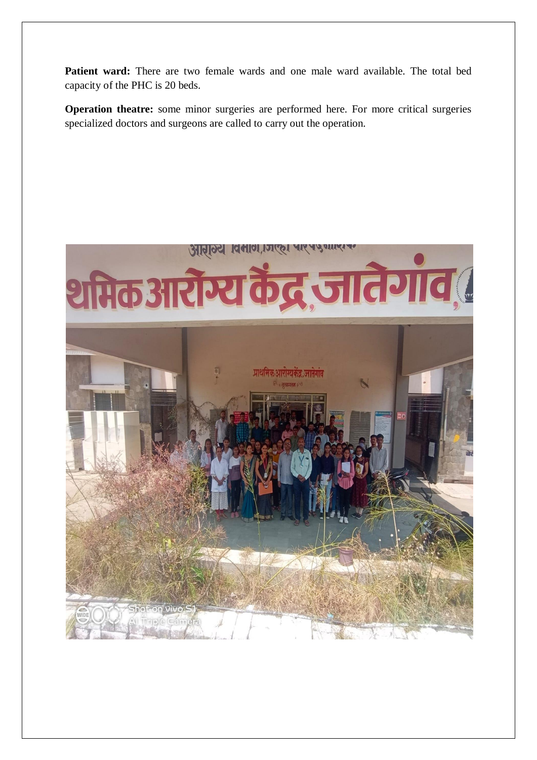**Patient ward:** There are two female wards and one male ward available. The total bed capacity of the PHC is 20 beds.

**Operation theatre:** some minor surgeries are performed here. For more critical surgeries specialized doctors and surgeons are called to carry out the operation.

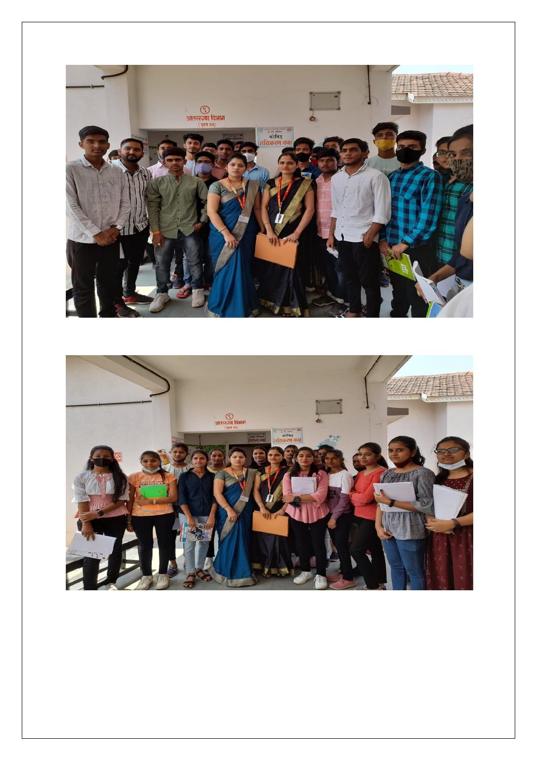